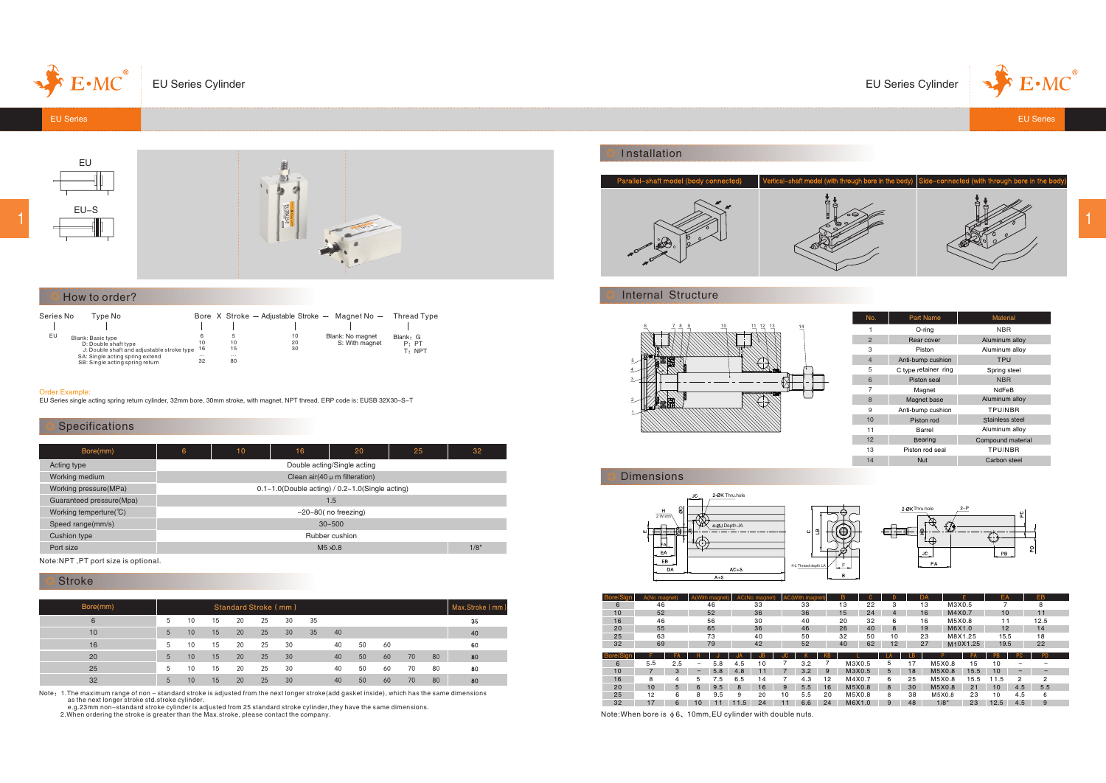

EU Series Cylinder





## How to order?

| Series No | Tvpe No                                                                                 |                |                | Bore X Stroke - Adiustable Stroke - Magnet No - |                                    | Thread Type                 |
|-----------|-----------------------------------------------------------------------------------------|----------------|----------------|-------------------------------------------------|------------------------------------|-----------------------------|
|           |                                                                                         |                |                |                                                 |                                    |                             |
| EU        | Blank: Basic type<br>D: Double shaft type<br>J: Double shaft and adjustable stroke type | 10<br>16       | 10<br>15       | 10<br>20<br>30                                  | Blank: No magnet<br>S: With magnet | Blank: G<br>P. PT<br>T: NPT |
|           | SA: Single acting spring extend<br>SB: Single acting spring return                      | $\cdots$<br>32 | $\cdots$<br>80 |                                                 |                                    |                             |

#### Order Example:

1

EU Series single acting spring return cylinder, 32mm bore, 30mm stroke, with magnet, NPT thread. ERP code is: EUSB 32X30-S-T

# Specifications

| Bore(mm)                              | 6<br>10                                                   |     | 16   | 20                     | 25 | 32 |  |  |  |  |  |  |  |  |
|---------------------------------------|-----------------------------------------------------------|-----|------|------------------------|----|----|--|--|--|--|--|--|--|--|
| Acting type                           | Double acting/Single acting                               |     |      |                        |    |    |  |  |  |  |  |  |  |  |
| Working medium                        | Clean $air(40 \mu m)$ filteration)                        |     |      |                        |    |    |  |  |  |  |  |  |  |  |
| Working pressure(MPa)                 | $0.1 - 1.0$ (Double acting) / $0.2 - 1.0$ (Single acting) |     |      |                        |    |    |  |  |  |  |  |  |  |  |
| Guaranteed pressure(Mpa)              |                                                           | 1.5 |      |                        |    |    |  |  |  |  |  |  |  |  |
| Working temperture( ${}^{\circ}\!C$ ) |                                                           |     |      | $-20-80$ (no freezing) |    |    |  |  |  |  |  |  |  |  |
| Speed range(mm/s)                     |                                                           |     |      | $30 - 500$             |    |    |  |  |  |  |  |  |  |  |
| <b>Cushion type</b>                   |                                                           |     |      | Rubber cushion         |    |    |  |  |  |  |  |  |  |  |
| Port size                             |                                                           |     | 1/8" |                        |    |    |  |  |  |  |  |  |  |  |

Note:NPT ,PT port size is optional.

## Stroke

| Bore(mm) |   | Standard Stroke (mm)<br>Max.Stroke (mm) |    |    |    |    |    |    |    |    |    |    |    |  |
|----------|---|-----------------------------------------|----|----|----|----|----|----|----|----|----|----|----|--|
| 6        |   | 10                                      | 15 | 20 | 25 | 30 | 35 |    |    |    |    |    | 35 |  |
| 10       | 5 | 10                                      | 15 | 20 | 25 | 30 | 35 | 40 |    |    |    |    | 40 |  |
| 16       | 5 | 10                                      | 15 | 20 | 25 | 30 |    | 40 | 50 | 60 |    |    | 60 |  |
| 20       | 5 | 10                                      | 15 | 20 | 25 | 30 |    | 40 | 50 | 60 | 70 | 80 | 80 |  |
| 25       | 5 | 10                                      | 15 | 20 | 25 | 30 |    | 40 | 50 | 60 | 70 | 80 | 80 |  |
| 32       | 5 | 10                                      | 15 | 20 | 25 | 30 |    | 40 | 50 | 60 | 70 | 80 | 80 |  |

Note: 1.The maximum range of non – standard stroke is adjusted from the next longer stroke(add gasket inside), which has the same dimensions<br>e.g.23mm non-standard stroke cylinder is adjusted from 25 standard stroke cylinde

## Installation



## Internal Structure



| No.            | <b>Part Name</b>     | <b>Material</b>   |
|----------------|----------------------|-------------------|
|                | O-ring               | <b>NBR</b>        |
| $\overline{2}$ | Rear cover           | Aluminum alloy    |
| 3              | Piston               | Aluminum alloy    |
| $\overline{4}$ | Anti-bump cushion    | TPU               |
| 5              | C type retainer ring | Spring steel      |
| 6              | Piston seal          | <b>NBR</b>        |
| 7              | Magnet               | NdFeB             |
| $\mathbf{8}$   | Magnet base          | Aluminum alloy    |
| 9              | Anti-bump cushion    | TPU/NBR           |
| 10             | Piston rod           | Stainless steel   |
| 11             | Barrel               | Aluminum alloy    |
| 12             | Bearing              | Compound material |
| 13             | Piston rod seal      | TPU/NBR           |
| 14             | Nut                  | Carbon steel      |

# 2-ØK Thru hole

Dimensions





| Bore/Sign       | A(No magnet) |     |                          | With maon |      | <b>AC(No magnet</b> |    | <b>AC</b> (With magnet |    | B.     |    |              |     | DA                 |         |          | EA        |     | EB              |  |
|-----------------|--------------|-----|--------------------------|-----------|------|---------------------|----|------------------------|----|--------|----|--------------|-----|--------------------|---------|----------|-----------|-----|-----------------|--|
| 6               | 46           |     |                          | 46        |      | 33                  |    | 33                     |    | 13     | 22 | 3            |     | 13                 | M3X0.5  |          |           |     | 8               |  |
| 10 <sub>1</sub> | 52           |     |                          | 52        |      | 36                  |    | 36                     |    | 1.5    | 24 | 4            |     | 16                 | M4X0.7  |          | 10        |     | 11              |  |
| 16              | 46           |     |                          | 56        |      | 30                  |    | 40                     |    | 20     | 32 | 6            |     | 16                 | M5X0.8  |          | 11        |     | 12.5            |  |
| 20              | 55           |     |                          | 65        |      | 36                  |    | 46                     |    | 26     | 40 | 8            |     | 19                 | M6X1.0  |          | 12        |     | 14              |  |
| 25              | 63           |     |                          | 73        |      | 40                  |    | 50                     |    | 32     | 50 | 10           |     | 23                 | M8X1.25 |          | 15.5      |     | 18              |  |
| 32              | 69           |     |                          | 79        |      | 42                  |    | 52                     |    | 40     | 62 | 12           |     | 27                 |         | M10X1.25 | 19.5      |     | 22              |  |
| Bore/Sign       |              | FA  |                          |           |      |                     |    |                        | ΚB |        |    | LA           | LB. |                    |         | PA       | <b>PB</b> | PC. | <b>PD</b>       |  |
| 6               | 5.5          | 2.5 | $\qquad \qquad -$        | 5.8       | 4.5  | 10                  |    | 3.2                    |    | M3X0.5 |    | 5            | 17  | M5X0.8             |         | 15       | 10        |     |                 |  |
| 10              |              | 3   | $\overline{\phantom{0}}$ | 5.8       | 4.8  | 11                  |    | 3.2                    | 9  | M3X0.5 |    | $5^{\circ}$  | 18  | M5X0.8             |         | 15.5     | 10        | -   |                 |  |
| 16              | 8            | 4   | 5                        | 7.5       | 6.5  | 14                  |    | 4.3                    | 12 | M4X0.7 |    | 6            | 25  | M5X0.8             |         | 15.5     | 11.5      | 2   | $\overline{2}$  |  |
| 20              | 10           | 5   | 6                        | 9.5       | 8    | 16                  | 9  | 5.5                    | 16 | M5X0.8 |    | $\mathbf{8}$ | 30  | M5X0.8             |         | 21       | 10        | 4.5 | 5.5             |  |
| 25              | 12           | 6   | 8                        | 9.5       | 9    | 20                  | 10 | 5.5                    | 20 | M5X0.8 |    | 8            | 38  | M5X0.8             |         | 23       | 10        | 4.5 | $6\overline{6}$ |  |
| 32              | 17           | 6   | 10                       | 11        | 11.5 | 24                  | 11 | 6.6                    | 24 | M6X1.0 |    | 9            | 48  | $1/8$ <sup>=</sup> |         | 23       | 12.5      | 4.5 | 9               |  |

Note:When bore is  $\phi$  6, 10mm,EU cylinder with double nuts.